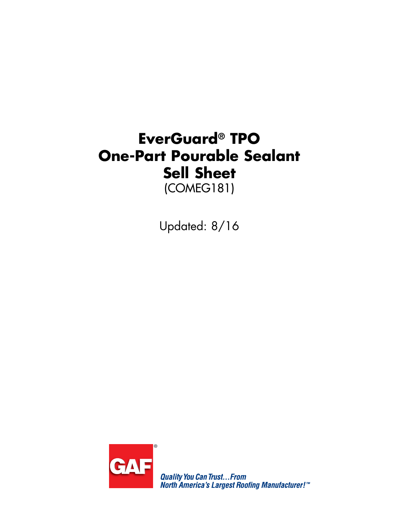# **EverGuard® TPO One-Part Pourable Sealant Sell Sheet**  (COMEG181)

Updated: 8/16



**Quality You Can Trust...From<br>North America's Largest Roofing Manufacturer!"**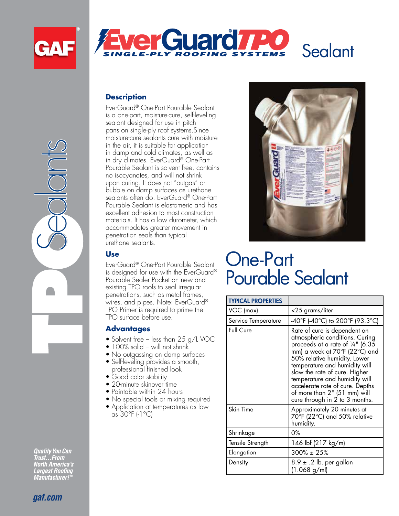

Sealants





#### **Description**

EverGuard® One-Part Pourable Sealant is a one-part, moisture-cure, self-leveling sealant designed for use in pitch pans on single-ply roof systems.Since moisture-cure sealants cure with moisture in the air, it is suitable for application in damp and cold climates, as well as in dry climates. EverGuard® One-Part Pourable Sealant is solvent free, contains no isocyanates, and will not shrink upon curing. It does not "outgas" or bubble on damp surfaces as urethane sealants often do. EverGuard® One-Part Pourable Sealant is elastomeric and has excellent adhesion to most construction materials. It has a low durometer, which accommodates greater movement in penetration seals than typical urethane sealants.

#### **Use**

EverGuard® One-Part Pourable Sealant is designed for use with the EverGuard® Pourable Sealer Pocket on new and existing TPO roofs to seal irregular penetrations, such as metal frames, wires, and pipes. Note: EverGuard® TPO Primer is required to prime the TPO surface before use.

#### **Advantages**

- Solvent free less than  $25$  g/L VOC
- 100% solid will not shrink
- No outgassing on damp surfaces • Self-leveling provides a smooth,
- professional finished look
- Good color stability
- $\bullet$  20-minute skinover time • Paintable within 24 hours
- 
- No special tools or mixing required • Application at temperatures as low as 30°F (-1°C)



# One-Part Pourable Sealant

| <b>TYPICAL PROPERTIES</b> |                                                                                                                                                                                                                                                                                                                                                                                        |
|---------------------------|----------------------------------------------------------------------------------------------------------------------------------------------------------------------------------------------------------------------------------------------------------------------------------------------------------------------------------------------------------------------------------------|
| VOC (max)                 | <25 grams/liter                                                                                                                                                                                                                                                                                                                                                                        |
| Service Temperature       | -40°F (-40°C) to 200°F (93.3°C)                                                                                                                                                                                                                                                                                                                                                        |
| Full Cure                 | Rate of cure is dependent on<br>atmospheric conditions. Curing<br>proceeds at a rate of $\frac{1}{4}$ " (6.35<br>mm) a week at 70°F (22°C) and<br>50% relative humidity. Lower<br>temperature and humidity will<br>slow the rate of cure. Higher<br>temperature and humidity will<br>accelerate rate of cure. Depths<br>of more than 2" (51 mm) will<br>cure through in 2 to 3 months. |
| Skin Time                 | Approximately 20 minutes at<br>70°F (22°C) and 50% relative<br>humidity.                                                                                                                                                                                                                                                                                                               |
| Shrinkage                 | 0%                                                                                                                                                                                                                                                                                                                                                                                     |
| Tensile Strength          | 146 lbf (217 kg/m)                                                                                                                                                                                                                                                                                                                                                                     |
| Elongation                | $300\% \pm 25\%$                                                                                                                                                                                                                                                                                                                                                                       |
| Density                   | $8.9 \pm .2$ lb. per gallon<br>(1.068 g/ml)                                                                                                                                                                                                                                                                                                                                            |

**Quality You Can** 

**Trust...From<br>Trust...From<br>North America's<br>Largest Roofing<br>Manufacturer!"**